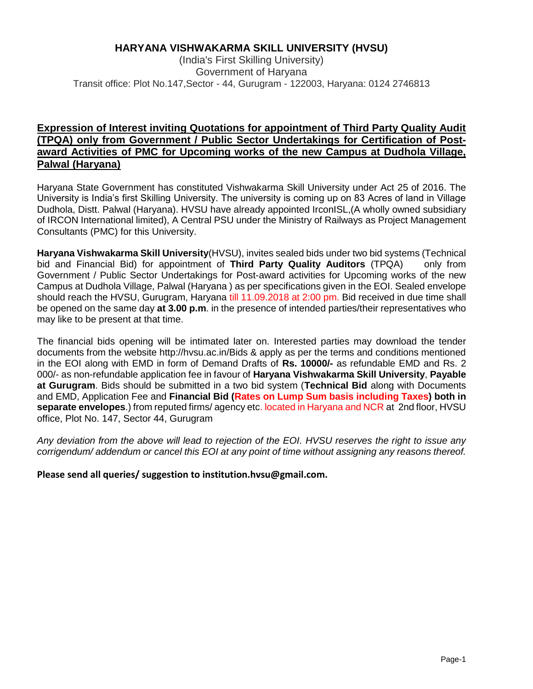#### **HARYANA VISHWAKARMA SKILL UNIVERSITY (HVSU)**

(India's First Skilling University) Government of Haryana Transit office: Plot No.147,Sector - 44, Gurugram - 122003, Haryana: 0124 2746813

#### **Expression of Interest inviting Quotations for appointment of Third Party Quality Audit (TPQA) only from Government / Public Sector Undertakings for Certification of Postaward Activities of PMC for Upcoming works of the new Campus at Dudhola Village, Palwal (Haryana)**

Haryana State Government has constituted Vishwakarma Skill University under Act 25 of 2016. The University is India's first Skilling University. The university is coming up on 83 Acres of land in Village Dudhola, Distt. Palwal (Haryana). HVSU have already appointed IrconISL,(A wholly owned subsidiary of IRCON International limited), A Central PSU under the Ministry of Railways as Project Management Consultants (PMC) for this University.

**Haryana Vishwakarma Skill University**(HVSU), invites sealed bids under two bid systems (Technical bid and Financial Bid) for appointment of **Third Party Quality Auditors** (TPQA) only from Government / Public Sector Undertakings for Post-award activities for Upcoming works of the new Campus at Dudhola Village, Palwal (Haryana ) as per specifications given in the EOI. Sealed envelope should reach the HVSU, Gurugram, Haryana till 11.09.2018 at 2:00 pm. Bid received in due time shall be opened on the same day **at 3.00 p.m**. in the presence of intended parties/their representatives who may like to be present at that time.

The financial bids opening will be intimated later on. Interested parties may download the tender documents from the website http://hvsu.ac.in/Bids & apply as per the terms and conditions mentioned in the EOI along with EMD in form of Demand Drafts of **Rs. 10000/-** as refundable EMD and Rs. 2 000/- as non-refundable application fee in favour of **Haryana Vishwakarma Skill University**, **Payable at Gurugram**. Bids should be submitted in a two bid system (**Technical Bid** along with Documents and EMD, Application Fee and **Financial Bid (Rates on Lump Sum basis including Taxes) both in separate envelopes**.) from reputed firms/ agency etc. located in Haryana and NCR at 2nd floor, HVSU office, Plot No. 147, Sector 44, Gurugram

*Any deviation from the above will lead to rejection of the EOI. HVSU reserves the right to issue any corrigendum/ addendum or cancel this EOI at any point of time without assigning any reasons thereof.*

**Please send all queries/ suggestion to institution.hvsu@gmail.com.**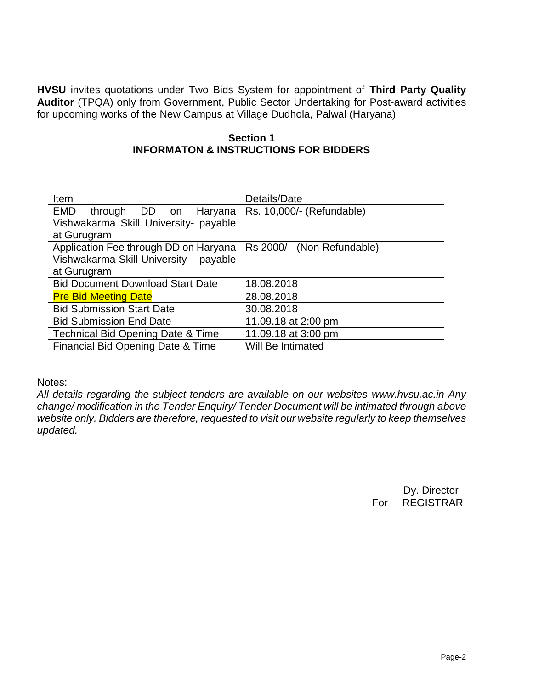**HVSU** invites quotations under Two Bids System for appointment of **Third Party Quality Auditor** (TPQA) only from Government, Public Sector Undertaking for Post-award activities for upcoming works of the New Campus at Village Dudhola, Palwal (Haryana)

#### **Section 1 INFORMATON & INSTRUCTIONS FOR BIDDERS**

| Item                                         | Details/Date                |  |  |  |  |  |
|----------------------------------------------|-----------------------------|--|--|--|--|--|
| EMD through DD on<br>Haryana                 | Rs. 10,000/- (Refundable)   |  |  |  |  |  |
| Vishwakarma Skill University- payable        |                             |  |  |  |  |  |
| at Gurugram                                  |                             |  |  |  |  |  |
| Application Fee through DD on Haryana        | Rs 2000/ - (Non Refundable) |  |  |  |  |  |
| Vishwakarma Skill University - payable       |                             |  |  |  |  |  |
| at Gurugram                                  |                             |  |  |  |  |  |
| <b>Bid Document Download Start Date</b>      | 18.08.2018                  |  |  |  |  |  |
| <b>Pre Bid Meeting Date</b>                  | 28.08.2018                  |  |  |  |  |  |
| <b>Bid Submission Start Date</b>             | 30.08.2018                  |  |  |  |  |  |
| <b>Bid Submission End Date</b>               | 11.09.18 at 2:00 pm         |  |  |  |  |  |
| <b>Technical Bid Opening Date &amp; Time</b> | 11.09.18 at 3:00 pm         |  |  |  |  |  |
| Financial Bid Opening Date & Time            | Will Be Intimated           |  |  |  |  |  |

Notes:

*All details regarding the subject tenders are available on our websites www.hvsu.ac.in Any change/ modification in the Tender Enquiry/ Tender Document will be intimated through above website only. Bidders are therefore, requested to visit our website regularly to keep themselves updated.*

> Dy. Director For REGISTRAR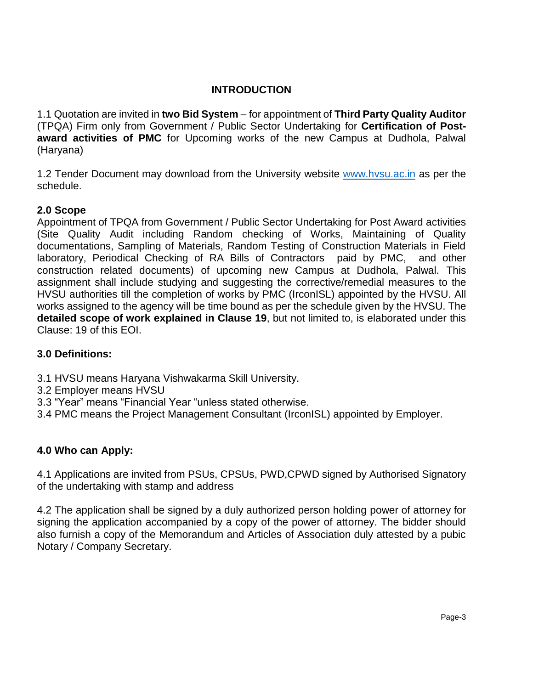# **INTRODUCTION**

1.1 Quotation are invited in **two Bid System** – for appointment of **Third Party Quality Auditor** (TPQA) Firm only from Government / Public Sector Undertaking for **Certification of Postaward activities of PMC** for Upcoming works of the new Campus at Dudhola, Palwal (Haryana)

1.2 Tender Document may download from the University website [www.hvsu.ac.in](http://www.hvsu.ac.in/) as per the schedule.

### **2.0 Scope**

Appointment of TPQA from Government / Public Sector Undertaking for Post Award activities (Site Quality Audit including Random checking of Works, Maintaining of Quality documentations, Sampling of Materials, Random Testing of Construction Materials in Field laboratory, Periodical Checking of RA Bills of Contractors paid by PMC, and other construction related documents) of upcoming new Campus at Dudhola, Palwal. This assignment shall include studying and suggesting the corrective/remedial measures to the HVSU authorities till the completion of works by PMC (IrconISL) appointed by the HVSU. All works assigned to the agency will be time bound as per the schedule given by the HVSU. The **detailed scope of work explained in Clause 19**, but not limited to, is elaborated under this Clause: 19 of this EOI.

### **3.0 Definitions:**

- 3.1 HVSU means Haryana Vishwakarma Skill University.
- 3.2 Employer means HVSU
- 3.3 "Year" means "Financial Year "unless stated otherwise.
- 3.4 PMC means the Project Management Consultant (IrconISL) appointed by Employer.

### **4.0 Who can Apply:**

4.1 Applications are invited from PSUs, CPSUs, PWD,CPWD signed by Authorised Signatory of the undertaking with stamp and address

4.2 The application shall be signed by a duly authorized person holding power of attorney for signing the application accompanied by a copy of the power of attorney. The bidder should also furnish a copy of the Memorandum and Articles of Association duly attested by a pubic Notary / Company Secretary.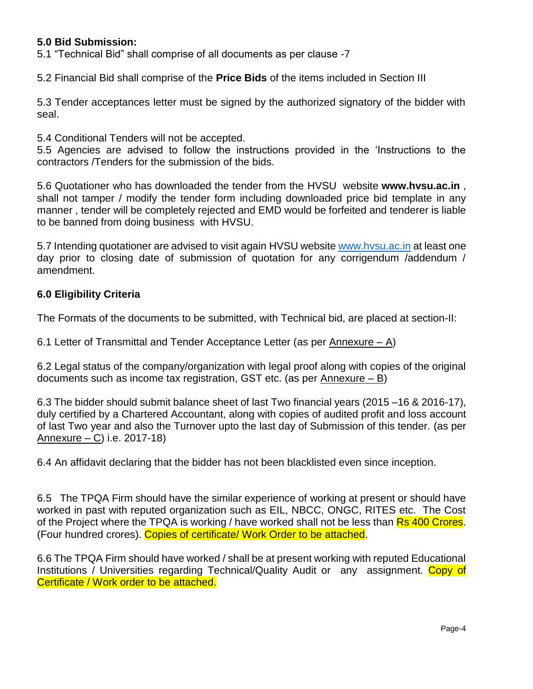### **5.0 Bid Submission:**

5.1 "Technical Bid" shall comprise of all documents as per clause -7

5.2 Financial Bid shall comprise of the **Price Bids** of the items included in Section III

5.3 Tender acceptances letter must be signed by the authorized signatory of the bidder with seal.

5.4 Conditional Tenders will not be accepted.

5.5 Agencies are advised to follow the instructions provided in the 'Instructions to the contractors /Tenders for the submission of the bids.

5.6 Quotationer who has downloaded the tender from the HVSU website **www.hvsu.ac.in** , shall not tamper / modify the tender form including downloaded price bid template in any manner , tender will be completely rejected and EMD would be forfeited and tenderer is liable to be banned from doing business with HVSU.

5.7 Intending quotationer are advised to visit again HVSU websit[e www.hvsu.ac.in](http://www.hvsu.ac.in/) at least one day prior to closing date of submission of quotation for any corrigendum /addendum / amendment.

#### **6.0 Eligibility Criteria**

The Formats of the documents to be submitted, with Technical bid, are placed at section-II:

6.1 Letter of Transmittal and Tender Acceptance Letter (as per Annexure – A)

6.2 Legal status of the company/organization with legal proof along with copies of the original documents such as income tax registration, GST etc. (as per Annexure – B)

6.3 The bidder should submit balance sheet of last Two financial years (2015 –16 & 2016-17), duly certified by a Chartered Accountant, along with copies of audited profit and loss account of last Two year and also the Turnover upto the last day of Submission of this tender. (as per Annexure – C) i.e. 2017-18)

6.4 An affidavit declaring that the bidder has not been blacklisted even since inception.

6.5 The TPQA Firm should have the similar experience of working at present or should have worked in past with reputed organization such as EIL, NBCC, ONGC, RITES etc. The Cost of the Project where the TPQA is working / have worked shall not be less than Rs 400 Crores. (Four hundred crores). Copies of certificate/ Work Order to be attached.

6.6 The TPQA Firm should have worked / shall be at present working with reputed Educational Institutions / Universities regarding Technical/Quality Audit or any assignment. Copy of Certificate / Work order to be attached.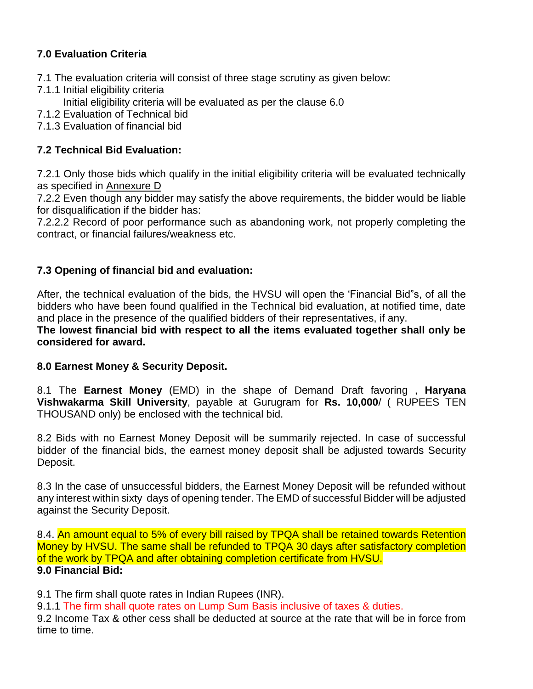# **7.0 Evaluation Criteria**

- 7.1 The evaluation criteria will consist of three stage scrutiny as given below:
- 7.1.1 Initial eligibility criteria
	- Initial eligibility criteria will be evaluated as per the clause 6.0
- 7.1.2 Evaluation of Technical bid
- 7.1.3 Evaluation of financial bid

# **7.2 Technical Bid Evaluation:**

7.2.1 Only those bids which qualify in the initial eligibility criteria will be evaluated technically as specified in Annexure D

7.2.2 Even though any bidder may satisfy the above requirements, the bidder would be liable for disqualification if the bidder has:

7.2.2.2 Record of poor performance such as abandoning work, not properly completing the contract, or financial failures/weakness etc.

# **7.3 Opening of financial bid and evaluation:**

After, the technical evaluation of the bids, the HVSU will open the 'Financial Bid"s, of all the bidders who have been found qualified in the Technical bid evaluation, at notified time, date and place in the presence of the qualified bidders of their representatives, if any.

**The lowest financial bid with respect to all the items evaluated together shall only be considered for award.** 

# **8.0 Earnest Money & Security Deposit.**

8.1 The **Earnest Money** (EMD) in the shape of Demand Draft favoring , **Haryana Vishwakarma Skill University**, payable at Gurugram for **Rs. 10,000**/ ( RUPEES TEN THOUSAND only) be enclosed with the technical bid.

8.2 Bids with no Earnest Money Deposit will be summarily rejected. In case of successful bidder of the financial bids, the earnest money deposit shall be adjusted towards Security Deposit.

8.3 In the case of unsuccessful bidders, the Earnest Money Deposit will be refunded without any interest within sixty days of opening tender. The EMD of successful Bidder will be adjusted against the Security Deposit.

8.4. An amount equal to 5% of every bill raised by TPQA shall be retained towards Retention Money by HVSU. The same shall be refunded to TPQA 30 days after satisfactory completion of the work by TPQA and after obtaining completion certificate from HVSU. **9.0 Financial Bid:**

9.1 The firm shall quote rates in Indian Rupees (INR).

9.1.1 The firm shall quote rates on Lump Sum Basis inclusive of taxes & duties.

9.2 Income Tax & other cess shall be deducted at source at the rate that will be in force from time to time.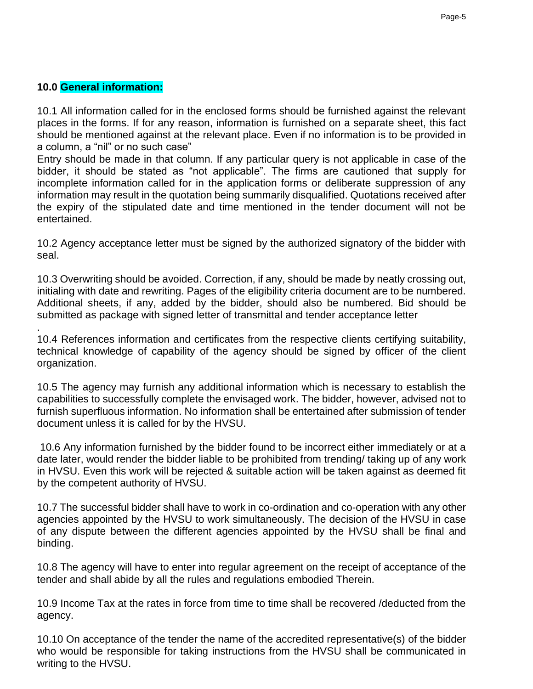### **10.0 General information:**

10.1 All information called for in the enclosed forms should be furnished against the relevant places in the forms. If for any reason, information is furnished on a separate sheet, this fact should be mentioned against at the relevant place. Even if no information is to be provided in a column, a "nil" or no such case"

Entry should be made in that column. If any particular query is not applicable in case of the bidder, it should be stated as "not applicable". The firms are cautioned that supply for incomplete information called for in the application forms or deliberate suppression of any information may result in the quotation being summarily disqualified. Quotations received after the expiry of the stipulated date and time mentioned in the tender document will not be entertained.

10.2 Agency acceptance letter must be signed by the authorized signatory of the bidder with seal.

10.3 Overwriting should be avoided. Correction, if any, should be made by neatly crossing out, initialing with date and rewriting. Pages of the eligibility criteria document are to be numbered. Additional sheets, if any, added by the bidder, should also be numbered. Bid should be submitted as package with signed letter of transmittal and tender acceptance letter

. 10.4 References information and certificates from the respective clients certifying suitability, technical knowledge of capability of the agency should be signed by officer of the client organization.

10.5 The agency may furnish any additional information which is necessary to establish the capabilities to successfully complete the envisaged work. The bidder, however, advised not to furnish superfluous information. No information shall be entertained after submission of tender document unless it is called for by the HVSU.

10.6 Any information furnished by the bidder found to be incorrect either immediately or at a date later, would render the bidder liable to be prohibited from trending/ taking up of any work in HVSU. Even this work will be rejected & suitable action will be taken against as deemed fit by the competent authority of HVSU.

10.7 The successful bidder shall have to work in co-ordination and co-operation with any other agencies appointed by the HVSU to work simultaneously. The decision of the HVSU in case of any dispute between the different agencies appointed by the HVSU shall be final and binding.

10.8 The agency will have to enter into regular agreement on the receipt of acceptance of the tender and shall abide by all the rules and regulations embodied Therein.

10.9 Income Tax at the rates in force from time to time shall be recovered /deducted from the agency.

10.10 On acceptance of the tender the name of the accredited representative(s) of the bidder who would be responsible for taking instructions from the HVSU shall be communicated in writing to the HVSU.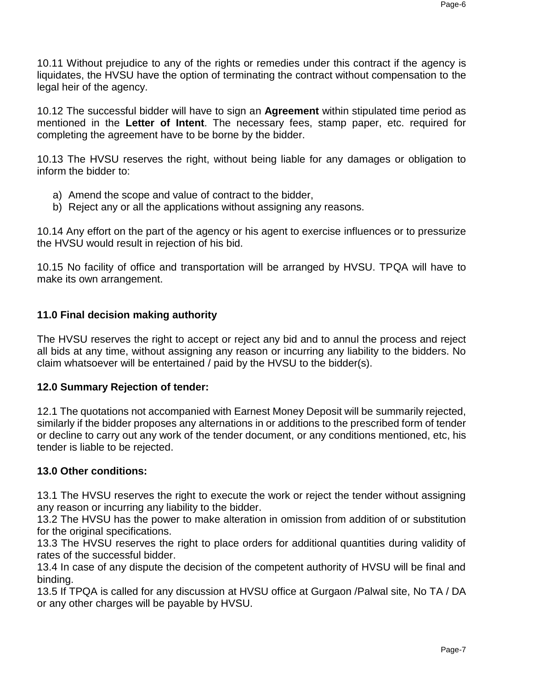10.11 Without prejudice to any of the rights or remedies under this contract if the agency is liquidates, the HVSU have the option of terminating the contract without compensation to the legal heir of the agency.

10.12 The successful bidder will have to sign an **Agreement** within stipulated time period as mentioned in the **Letter of Intent**. The necessary fees, stamp paper, etc. required for completing the agreement have to be borne by the bidder.

10.13 The HVSU reserves the right, without being liable for any damages or obligation to inform the bidder to:

- a) Amend the scope and value of contract to the bidder,
- b) Reject any or all the applications without assigning any reasons.

10.14 Any effort on the part of the agency or his agent to exercise influences or to pressurize the HVSU would result in rejection of his bid.

10.15 No facility of office and transportation will be arranged by HVSU. TPQA will have to make its own arrangement.

# **11.0 Final decision making authority**

The HVSU reserves the right to accept or reject any bid and to annul the process and reject all bids at any time, without assigning any reason or incurring any liability to the bidders. No claim whatsoever will be entertained / paid by the HVSU to the bidder(s).

# **12.0 Summary Rejection of tender:**

12.1 The quotations not accompanied with Earnest Money Deposit will be summarily rejected, similarly if the bidder proposes any alternations in or additions to the prescribed form of tender or decline to carry out any work of the tender document, or any conditions mentioned, etc, his tender is liable to be rejected.

# **13.0 Other conditions:**

13.1 The HVSU reserves the right to execute the work or reject the tender without assigning any reason or incurring any liability to the bidder.

13.2 The HVSU has the power to make alteration in omission from addition of or substitution for the original specifications.

13.3 The HVSU reserves the right to place orders for additional quantities during validity of rates of the successful bidder.

13.4 In case of any dispute the decision of the competent authority of HVSU will be final and binding.

13.5 If TPQA is called for any discussion at HVSU office at Gurgaon /Palwal site, No TA / DA or any other charges will be payable by HVSU.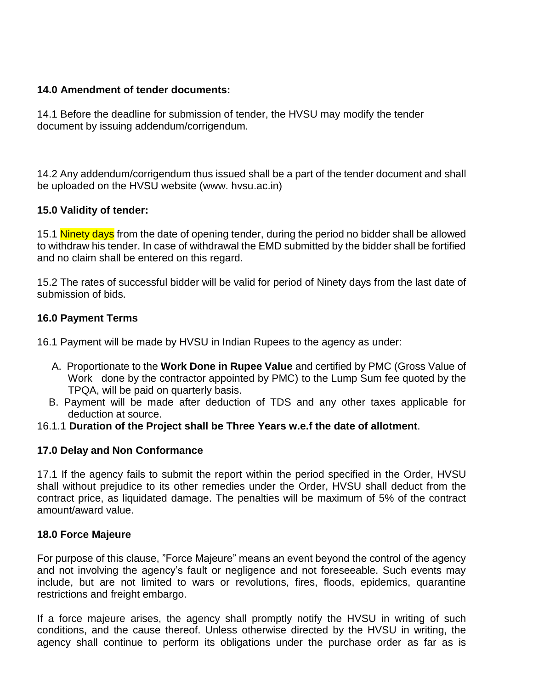### **14.0 Amendment of tender documents:**

14.1 Before the deadline for submission of tender, the HVSU may modify the tender document by issuing addendum/corrigendum.

14.2 Any addendum/corrigendum thus issued shall be a part of the tender document and shall be uploaded on the HVSU website (www. hvsu.ac.in)

# **15.0 Validity of tender:**

15.1 Ninety days from the date of opening tender, during the period no bidder shall be allowed to withdraw his tender. In case of withdrawal the EMD submitted by the bidder shall be fortified and no claim shall be entered on this regard.

15.2 The rates of successful bidder will be valid for period of Ninety days from the last date of submission of bids.

### **16.0 Payment Terms**

- 16.1 Payment will be made by HVSU in Indian Rupees to the agency as under:
	- A. Proportionate to the **Work Done in Rupee Value** and certified by PMC (Gross Value of Work done by the contractor appointed by PMC) to the Lump Sum fee quoted by the TPQA, will be paid on quarterly basis.
	- B. Payment will be made after deduction of TDS and any other taxes applicable for deduction at source.
- 16.1.1 **Duration of the Project shall be Three Years w.e.f the date of allotment**.

### **17.0 Delay and Non Conformance**

17.1 If the agency fails to submit the report within the period specified in the Order, HVSU shall without prejudice to its other remedies under the Order, HVSU shall deduct from the contract price, as liquidated damage. The penalties will be maximum of 5% of the contract amount/award value.

### **18.0 Force Majeure**

For purpose of this clause, "Force Majeure" means an event beyond the control of the agency and not involving the agency's fault or negligence and not foreseeable. Such events may include, but are not limited to wars or revolutions, fires, floods, epidemics, quarantine restrictions and freight embargo.

If a force majeure arises, the agency shall promptly notify the HVSU in writing of such conditions, and the cause thereof. Unless otherwise directed by the HVSU in writing, the agency shall continue to perform its obligations under the purchase order as far as is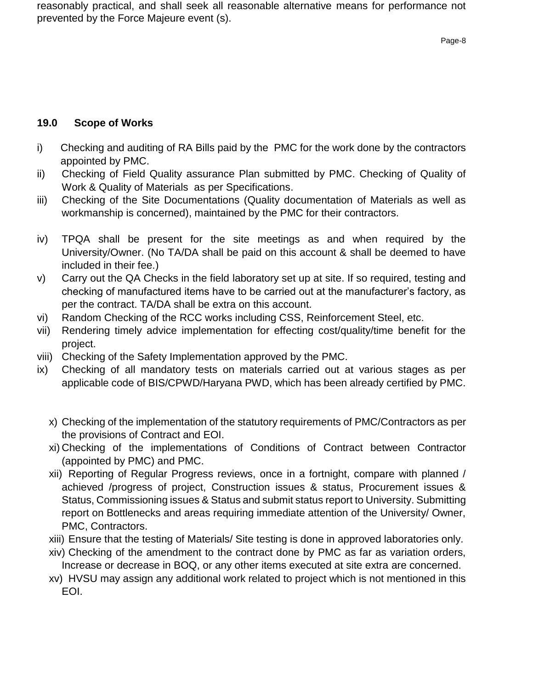reasonably practical, and shall seek all reasonable alternative means for performance not prevented by the Force Majeure event (s).

### **19.0 Scope of Works**

- i) Checking and auditing of RA Bills paid by the PMC for the work done by the contractors appointed by PMC.
- ii) Checking of Field Quality assurance Plan submitted by PMC. Checking of Quality of Work & Quality of Materials as per Specifications.
- iii) Checking of the Site Documentations (Quality documentation of Materials as well as workmanship is concerned), maintained by the PMC for their contractors.
- iv) TPQA shall be present for the site meetings as and when required by the University/Owner. (No TA/DA shall be paid on this account & shall be deemed to have included in their fee.)
- v) Carry out the QA Checks in the field laboratory set up at site. If so required, testing and checking of manufactured items have to be carried out at the manufacturer's factory, as per the contract. TA/DA shall be extra on this account.
- vi) Random Checking of the RCC works including CSS, Reinforcement Steel, etc.
- vii) Rendering timely advice implementation for effecting cost/quality/time benefit for the project.
- viii) Checking of the Safety Implementation approved by the PMC.
- ix) Checking of all mandatory tests on materials carried out at various stages as per applicable code of BIS/CPWD/Haryana PWD, which has been already certified by PMC.
	- x) Checking of the implementation of the statutory requirements of PMC/Contractors as per the provisions of Contract and EOI.
	- xi) Checking of the implementations of Conditions of Contract between Contractor (appointed by PMC) and PMC.
	- xii) Reporting of Regular Progress reviews, once in a fortnight, compare with planned / achieved /progress of project, Construction issues & status, Procurement issues & Status, Commissioning issues & Status and submit status report to University. Submitting report on Bottlenecks and areas requiring immediate attention of the University/ Owner, PMC, Contractors.
	- xiii) Ensure that the testing of Materials/ Site testing is done in approved laboratories only.
	- xiv) Checking of the amendment to the contract done by PMC as far as variation orders, Increase or decrease in BOQ, or any other items executed at site extra are concerned.
	- xv) HVSU may assign any additional work related to project which is not mentioned in this EOI.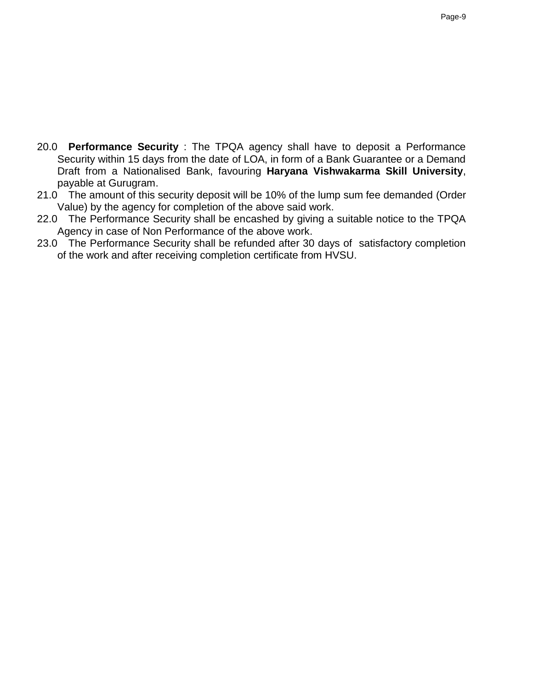- 20.0 **Performance Security** : The TPQA agency shall have to deposit a Performance Security within 15 days from the date of LOA, in form of a Bank Guarantee or a Demand Draft from a Nationalised Bank, favouring **Haryana Vishwakarma Skill University**, payable at Gurugram.
- 21.0 The amount of this security deposit will be 10% of the lump sum fee demanded (Order Value) by the agency for completion of the above said work.
- 22.0 The Performance Security shall be encashed by giving a suitable notice to the TPQA Agency in case of Non Performance of the above work.
- 23.0 The Performance Security shall be refunded after 30 days of satisfactory completion of the work and after receiving completion certificate from HVSU.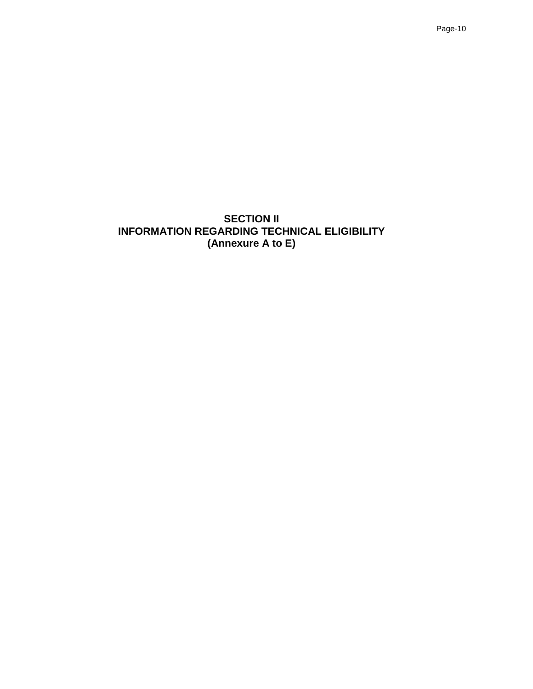**SECTION II INFORMATION REGARDING TECHNICAL ELIGIBILITY (Annexure A to E)**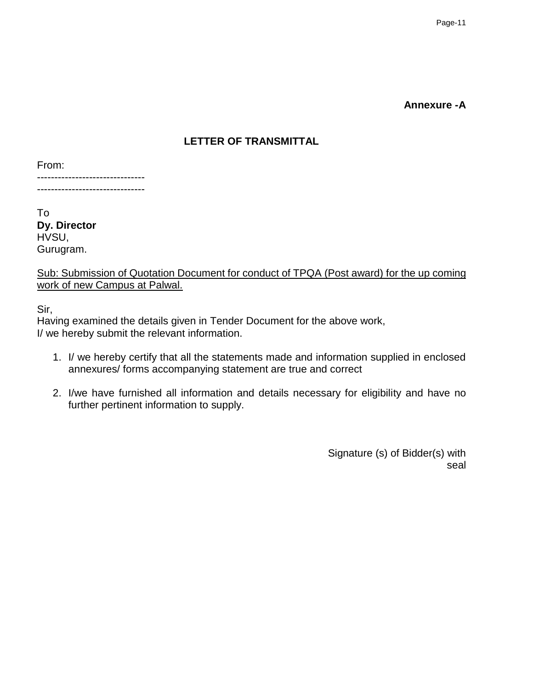#### **Annexure -A**

### **LETTER OF TRANSMITTAL**

From:

------------------------------- -------------------------------

To **Dy. Director** HVSU, Gurugram.

Sub: Submission of Quotation Document for conduct of TPQA (Post award) for the up coming work of new Campus at Palwal.

Sir,

Having examined the details given in Tender Document for the above work, I/ we hereby submit the relevant information.

- 1. I/ we hereby certify that all the statements made and information supplied in enclosed annexures/ forms accompanying statement are true and correct
- 2. I/we have furnished all information and details necessary for eligibility and have no further pertinent information to supply.

 Signature (s) of Bidder(s) with seal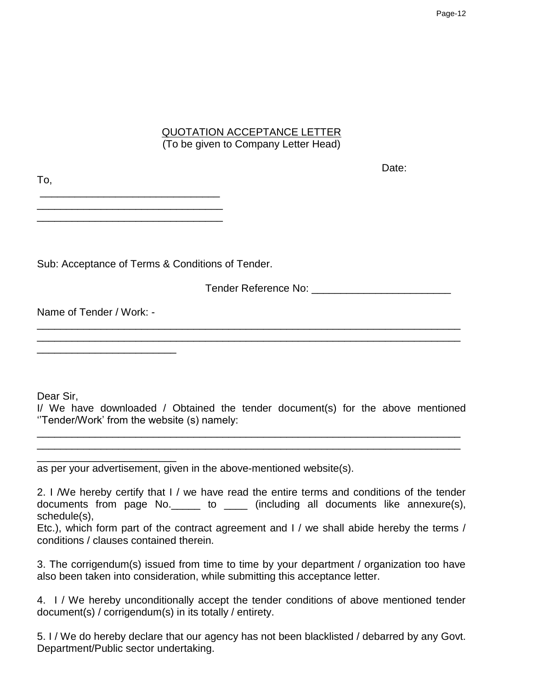# QUOTATION ACCEPTANCE LETTER (To be given to Company Letter Head)

| Тo,                                              | Dalt. |
|--------------------------------------------------|-------|
|                                                  |       |
|                                                  |       |
| Sub: Acceptance of Terms & Conditions of Tender. |       |
| Tender Reference No:                             |       |

Name of Tender / Work: -

\_\_\_\_\_\_\_\_\_\_\_\_\_\_\_\_\_\_\_\_\_\_\_\_

Dear Sir,

I/ We have downloaded / Obtained the tender document(s) for the above mentioned ''Tender/Work' from the website (s) namely:

\_\_\_\_\_\_\_\_\_\_\_\_\_\_\_\_\_\_\_\_\_\_\_\_\_\_\_\_\_\_\_\_\_\_\_\_\_\_\_\_\_\_\_\_\_\_\_\_\_\_\_\_\_\_\_\_\_\_\_\_\_\_\_\_\_\_\_\_\_\_\_\_\_ \_\_\_\_\_\_\_\_\_\_\_\_\_\_\_\_\_\_\_\_\_\_\_\_\_\_\_\_\_\_\_\_\_\_\_\_\_\_\_\_\_\_\_\_\_\_\_\_\_\_\_\_\_\_\_\_\_\_\_\_\_\_\_\_\_\_\_\_\_\_\_\_\_

\_\_\_\_\_\_\_\_\_\_\_\_\_\_\_\_\_\_\_\_\_\_\_\_\_\_\_\_\_\_\_\_\_\_\_\_\_\_\_\_\_\_\_\_\_\_\_\_\_\_\_\_\_\_\_\_\_\_\_\_\_\_\_\_\_\_\_\_\_\_\_\_\_ \_\_\_\_\_\_\_\_\_\_\_\_\_\_\_\_\_\_\_\_\_\_\_\_\_\_\_\_\_\_\_\_\_\_\_\_\_\_\_\_\_\_\_\_\_\_\_\_\_\_\_\_\_\_\_\_\_\_\_\_\_\_\_\_\_\_\_\_\_\_\_\_\_

as per your advertisement, given in the above-mentioned website(s).

2. I /We hereby certify that I / we have read the entire terms and conditions of the tender documents from page No.  $\qquad \qquad$  to  $\qquad \qquad$  (including all documents like annexure(s), schedule(s),

Etc.), which form part of the contract agreement and I / we shall abide hereby the terms / conditions / clauses contained therein.

3. The corrigendum(s) issued from time to time by your department / organization too have also been taken into consideration, while submitting this acceptance letter.

4. I / We hereby unconditionally accept the tender conditions of above mentioned tender document(s) / corrigendum(s) in its totally / entirety.

5. I / We do hereby declare that our agency has not been blacklisted / debarred by any Govt. Department/Public sector undertaking.

Doto: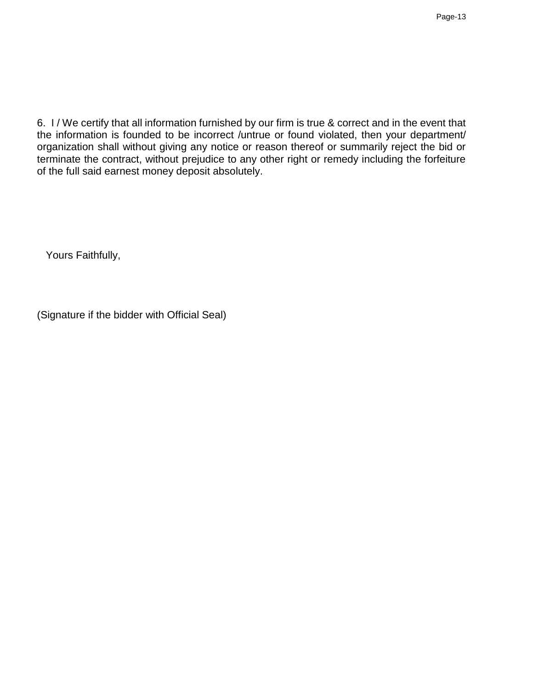6. I / We certify that all information furnished by our firm is true & correct and in the event that the information is founded to be incorrect /untrue or found violated, then your department/ organization shall without giving any notice or reason thereof or summarily reject the bid or terminate the contract, without prejudice to any other right or remedy including the forfeiture of the full said earnest money deposit absolutely.

Yours Faithfully,

(Signature if the bidder with Official Seal)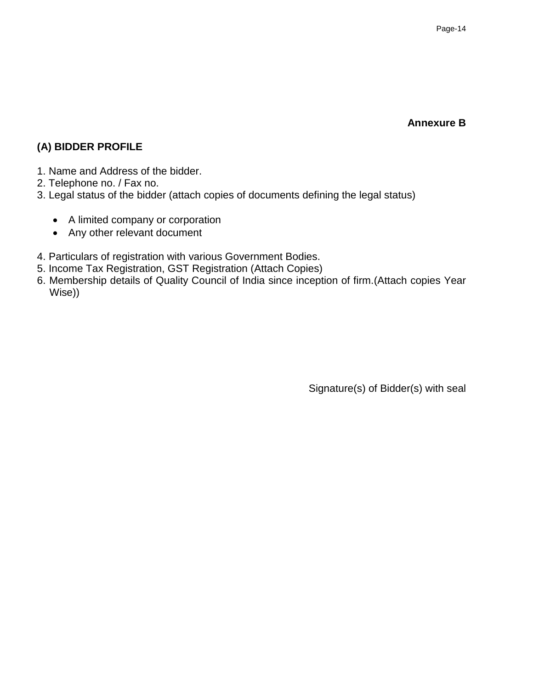#### **Annexure B**

# **(A) BIDDER PROFILE**

- 1. Name and Address of the bidder.
- 2. Telephone no. / Fax no.
- 3. Legal status of the bidder (attach copies of documents defining the legal status)
	- A limited company or corporation
	- Any other relevant document
- 4. Particulars of registration with various Government Bodies.
- 5. Income Tax Registration, GST Registration (Attach Copies)
- 6. Membership details of Quality Council of India since inception of firm.(Attach copies Year Wise))

Signature(s) of Bidder(s) with seal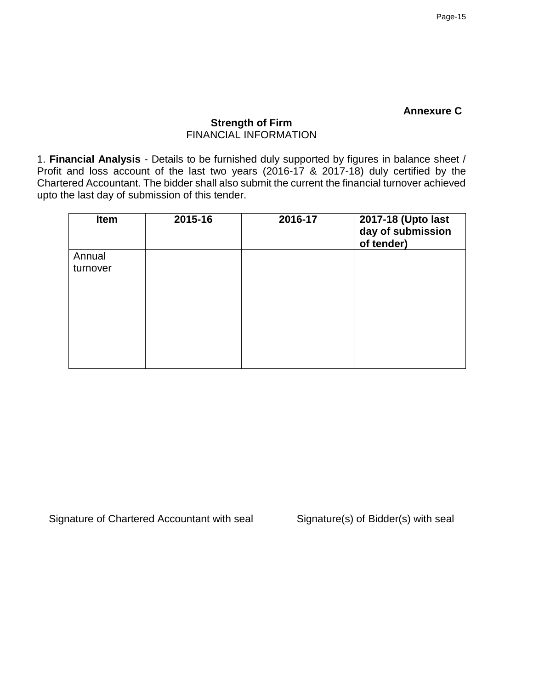#### **Annexure C**

# **Strength of Firm** FINANCIAL INFORMATION

1. **Financial Analysis** - Details to be furnished duly supported by figures in balance sheet / Profit and loss account of the last two years (2016-17 & 2017-18) duly certified by the Chartered Accountant. The bidder shall also submit the current the financial turnover achieved upto the last day of submission of this tender.

| Item     | 2015-16 | 2016-17 | 2017-18 (Upto last<br>day of submission<br>of tender) |
|----------|---------|---------|-------------------------------------------------------|
| Annual   |         |         |                                                       |
| turnover |         |         |                                                       |
|          |         |         |                                                       |
|          |         |         |                                                       |

Signature of Chartered Accountant with seal Signature(s) of Bidder(s) with seal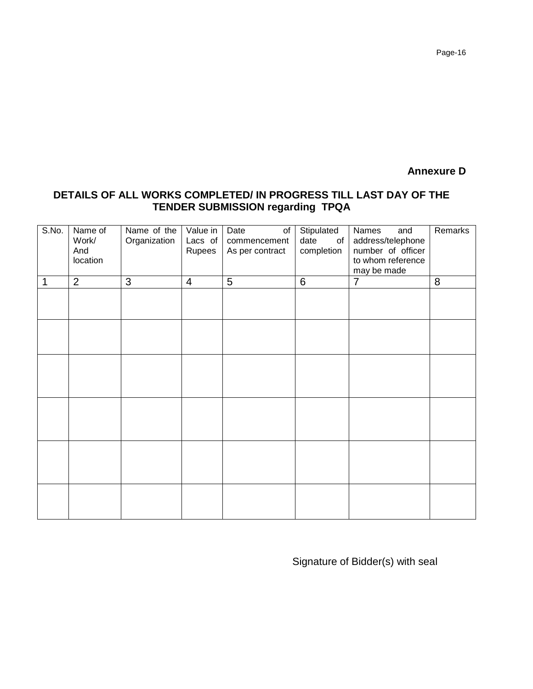### **Annexure D**

### **DETAILS OF ALL WORKS COMPLETED/ IN PROGRESS TILL LAST DAY OF THE TENDER SUBMISSION regarding TPQA**

| S.No. | Name of<br>Work/<br>And<br>location | Name of the<br>Organization | Value in<br>Lacs of<br>Rupees | Date<br>of<br>commencement<br>As per contract | Stipulated<br>date<br>of<br>completion | Names<br>and<br>address/telephone<br>number of officer<br>to whom reference<br>may be made | Remarks |
|-------|-------------------------------------|-----------------------------|-------------------------------|-----------------------------------------------|----------------------------------------|--------------------------------------------------------------------------------------------|---------|
| 1     | $\overline{2}$                      | 3                           | $\overline{4}$                | 5                                             | $6\phantom{1}6$                        | $\overline{7}$                                                                             | 8       |
|       |                                     |                             |                               |                                               |                                        |                                                                                            |         |
|       |                                     |                             |                               |                                               |                                        |                                                                                            |         |
|       |                                     |                             |                               |                                               |                                        |                                                                                            |         |
|       |                                     |                             |                               |                                               |                                        |                                                                                            |         |
|       |                                     |                             |                               |                                               |                                        |                                                                                            |         |
|       |                                     |                             |                               |                                               |                                        |                                                                                            |         |

Signature of Bidder(s) with seal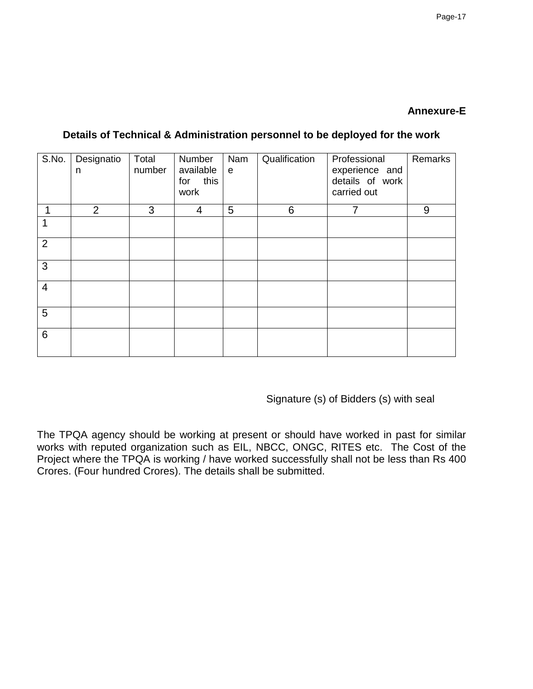### **Annexure-E**

| S.No.          | Designatio<br>n | Total<br>number | Number<br>available<br>this<br>for<br>work | Nam<br>$\mathbf e$ | Qualification | Professional<br>experience and<br>details of work<br>carried out | Remarks |
|----------------|-----------------|-----------------|--------------------------------------------|--------------------|---------------|------------------------------------------------------------------|---------|
|                | $\overline{2}$  | 3               | 4                                          | 5                  | 6             | $\overline{7}$                                                   | 9       |
|                |                 |                 |                                            |                    |               |                                                                  |         |
| $\overline{2}$ |                 |                 |                                            |                    |               |                                                                  |         |
| 3              |                 |                 |                                            |                    |               |                                                                  |         |
| $\overline{4}$ |                 |                 |                                            |                    |               |                                                                  |         |
| 5              |                 |                 |                                            |                    |               |                                                                  |         |
| 6              |                 |                 |                                            |                    |               |                                                                  |         |

### **Details of Technical & Administration personnel to be deployed for the work**

Signature (s) of Bidders (s) with seal

The TPQA agency should be working at present or should have worked in past for similar works with reputed organization such as EIL, NBCC, ONGC, RITES etc. The Cost of the Project where the TPQA is working / have worked successfully shall not be less than Rs 400 Crores. (Four hundred Crores). The details shall be submitted.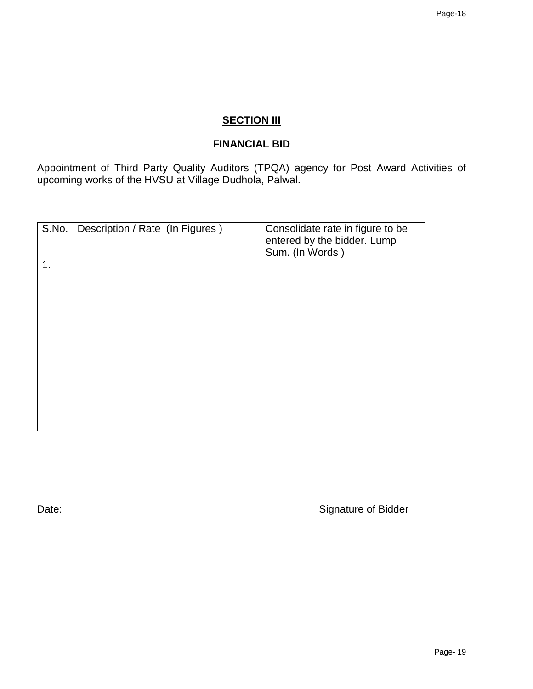# **SECTION III**

# **FINANCIAL BID**

Appointment of Third Party Quality Auditors (TPQA) agency for Post Award Activities of upcoming works of the HVSU at Village Dudhola, Palwal.

| S.No. | Description / Rate (In Figures) | Consolidate rate in figure to be<br>entered by the bidder. Lump<br>Sum. (In Words) |
|-------|---------------------------------|------------------------------------------------------------------------------------|
| 1.    |                                 |                                                                                    |
|       |                                 |                                                                                    |
|       |                                 |                                                                                    |
|       |                                 |                                                                                    |
|       |                                 |                                                                                    |

Date: Case of Bidder and Case of Bidder and Case of Bidder and Case of Bidder and Case of Bidder and Case of Bidder